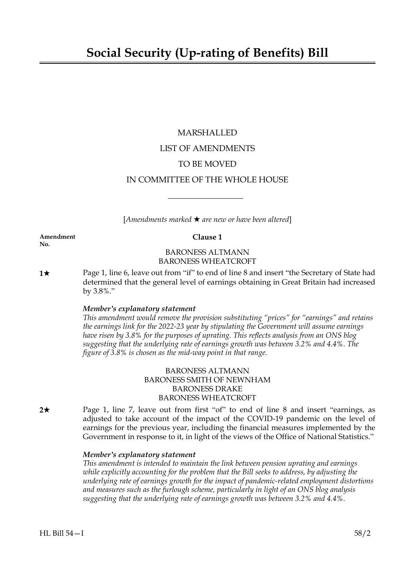# MARSHALLED LIST OF AMENDMENTS TO BE MOVED IN COMMITTEE OF THE WHOLE HOUSE

 $[Amendments marked \star are new or have been altered]$ 

 $\overline{\phantom{a}}$  , where  $\overline{\phantom{a}}$ 

**Amendment Clause 1 No.**

# BARONESS ALTMANN BARONESS WHEATCROFT

**1★** Page 1, line 6, leave out from "if" to end of line 8 and insert "the Secretary of State had determined that the general level of earnings obtaining in Great Britain had increased by  $3.8\%$ ."

# *Member's explanatory statement*

*This amendment would remove the provision substituting "prices" for "earnings" and retains the earnings link for the 2022-23 year by stipulating the Government will assume earnings have risen by 3.8% for the purposes of uprating. This reflects analysis from an ONS blog suggesting that the underlying rate of earnings growth was between 3.2% and 4.4%. The figure of 3.8% is chosen as the mid-way point in that range.*

# BARONESS ALTMANN BARONESS SMITH OF NEWNHAM BARONESS DRAKE BARONESS WHEATCROFT

**2★** Page 1, line 7, leave out from first "of" to end of line 8 and insert "earnings, as adjusted to take account of the impact of the COVID-19 pandemic on the level of earnings for the previous year, including the financial measures implemented by the Government in response to it, in light of the views of the Office of National Statistics."

# *Member's explanatory statement*

*This amendment is intended to maintain the link between pension uprating and earnings while explicitly accounting for the problem that the Bill seeks to address, by adjusting the underlying rate of earnings growth for the impact of pandemic-related employment distortions and measures such as the furlough scheme, particularly in light of an ONS blog analysis suggesting that the underlying rate of earnings growth was between 3.2% and 4.4%.*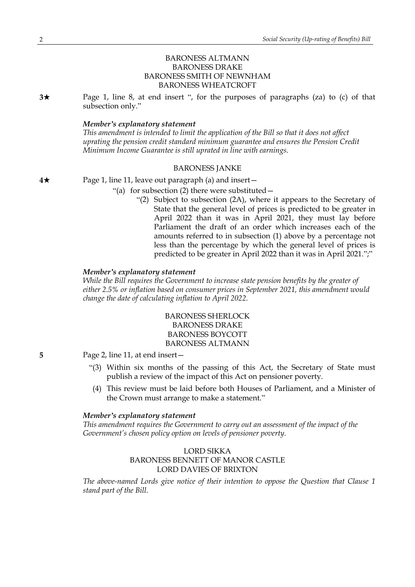# BARONESS ALTMANN BARONESS DRAKE BARONESS SMITH OF NEWNHAM BARONESS WHEATCROFT

**3**\* Page 1, line 8, at end insert ", for the purposes of paragraphs (za) to (c) of that subsection only."

### *Member's explanatory statement*

*This amendment is intended to limit the application of the Bill so that it does not affect uprating the pension credit standard minimum guarantee and ensures the Pension Credit Minimum Income Guarantee is still uprated in line with earnings.*

#### BARONESS JANKE

**4★** Page 1, line 11, leave out paragraph (a) and insert —

- "(a) for subsection (2) there were substituted—
	- "(2) Subject to subsection (2A), where it appears to the Secretary of State that the general level of prices is predicted to be greater in April 2022 than it was in April 2021, they must lay before Parliament the draft of an order which increases each of the amounts referred to in subsection (1) above by a percentage not less than the percentage by which the general level of prices is predicted to be greater in April 2022 than it was in April 2021.";"

#### *Member's explanatory statement*

*While the Bill requires the Government to increase state pension benefits by the greater of either 2.5% or inflation based on consumer prices in September 2021, this amendment would change the date of calculating inflation to April 2022.*

> BARONESS SHERLOCK BARONESS DRAKE BARONESS BOYCOTT BARONESS ALTMANN

**5** Page 2, line 11, at end insert—

- "(3) Within six months of the passing of this Act, the Secretary of State must publish a review of the impact of this Act on pensioner poverty.
- (4) This review must be laid before both Houses of Parliament, and a Minister of the Crown must arrange to make a statement."

## *Member's explanatory statement*

*This amendment requires the Government to carry out an assessment of the impact of the Government's chosen policy option on levels of pensioner poverty.*

# LORD SIKKA BARONESS BENNETT OF MANOR CASTLE LORD DAVIES OF BRIXTON

*The above-named Lords give notice of their intention to oppose the Question that Clause 1 stand part of the Bill.*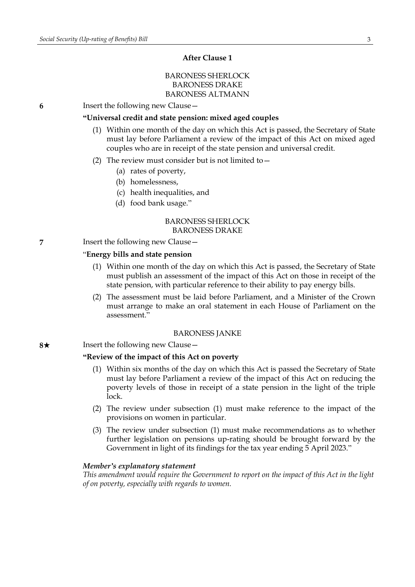# **After Clause 1**

# BARONESS SHERLOCK BARONESS DRAKE BARONESS ALTMANN

**6** Insert the following new Clause—

# **"Universal credit and state pension: mixed aged couples**

- (1) Within one month of the day on which this Act is passed, the Secretary of State must lay before Parliament a review of the impact of this Act on mixed aged couples who are in receipt of the state pension and universal credit.
- (2) The review must consider but is not limited to  $-$ 
	- (a) rates of poverty,
	- (b) homelessness,
	- (c) health inequalities, and
	- (d) food bank usage."

### BARONESS SHERLOCK BARONESS DRAKE

**7** Insert the following new Clause—

#### "**Energy bills and state pension**

- (1) Within one month of the day on which this Act is passed, the Secretary of State must publish an assessment of the impact of this Act on those in receipt of the state pension, with particular reference to their ability to pay energy bills.
- (2) The assessment must be laid before Parliament, and a Minister of the Crown must arrange to make an oral statement in each House of Parliament on the assessment."

#### BARONESS JANKE

#### **8**★ Insert the following new Clause —

#### **"Review of the impact of this Act on poverty**

- (1) Within six months of the day on which this Act is passed the Secretary of State must lay before Parliament a review of the impact of this Act on reducing the poverty levels of those in receipt of a state pension in the light of the triple lock.
- (2) The review under subsection (1) must make reference to the impact of the provisions on women in particular.
- (3) The review under subsection (1) must make recommendations as to whether further legislation on pensions up-rating should be brought forward by the Government in light of its findings for the tax year ending 5 April 2023."

#### *Member's explanatory statement*

*This amendment would require the Government to report on the impact of this Act in the light of on poverty, especially with regards to women.*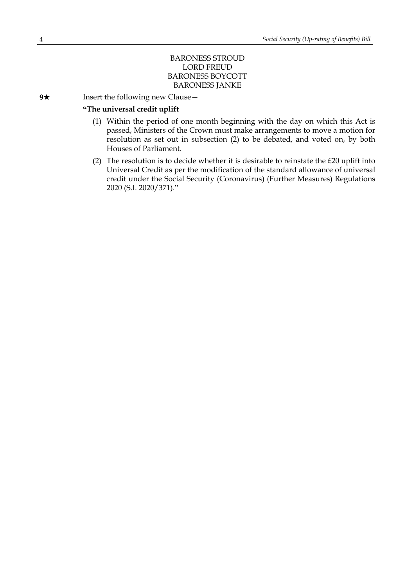# BARONESS STROUD LORD FREUD BARONESS BOYCOTT BARONESS JANKE

**9**★ Insert the following new Clause —

## **"The universal credit uplift**

- (1) Within the period of one month beginning with the day on which this Act is passed, Ministers of the Crown must make arrangements to move a motion for resolution as set out in subsection (2) to be debated, and voted on, by both Houses of Parliament.
- (2) The resolution is to decide whether it is desirable to reinstate the  $£20$  uplift into Universal Credit as per the modification of the standard allowance of universal credit under the Social Security (Coronavirus) (Further Measures) Regulations 2020 (S.I. 2020/371)."